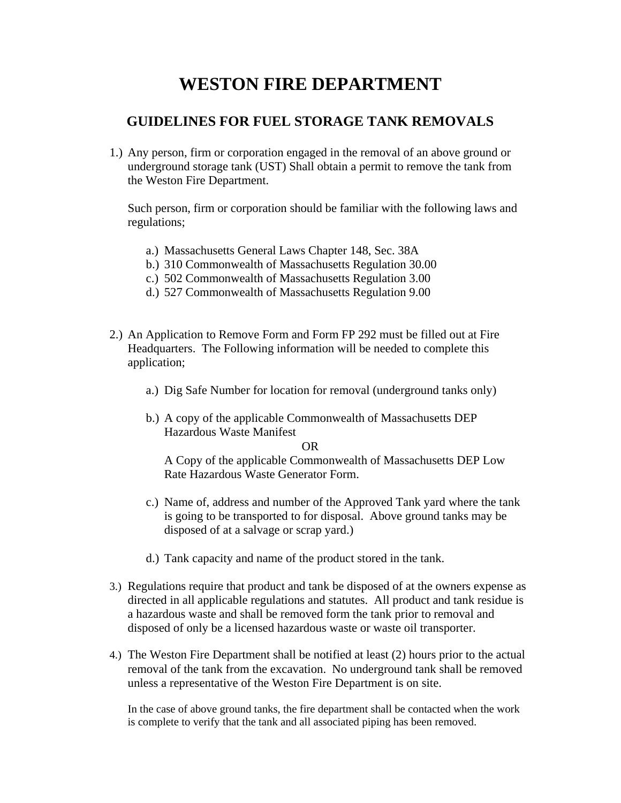## **WESTON FIRE DEPARTMENT**

### **GUIDELINES FOR FUEL STORAGE TANK REMOVALS**

1.) Any person, firm or corporation engaged in the removal of an above ground or underground storage tank (UST) Shall obtain a permit to remove the tank from the Weston Fire Department.

Such person, firm or corporation should be familiar with the following laws and regulations;

- a.) Massachusetts General Laws Chapter 148, Sec. 38A
- b.) 310 Commonwealth of Massachusetts Regulation 30.00
- c.) 502 Commonwealth of Massachusetts Regulation 3.00
- d.) 527 Commonwealth of Massachusetts Regulation 9.00
- 2.) An Application to Remove Form and Form FP 292 must be filled out at Fire Headquarters. The Following information will be needed to complete this application;
	- a.) Dig Safe Number for location for removal (underground tanks only)
	- b.) A copy of the applicable Commonwealth of Massachusetts DEP Hazardous Waste Manifest

OR

 A Copy of the applicable Commonwealth of Massachusetts DEP Low Rate Hazardous Waste Generator Form.

- c.) Name of, address and number of the Approved Tank yard where the tank is going to be transported to for disposal. Above ground tanks may be disposed of at a salvage or scrap yard.)
- d.) Tank capacity and name of the product stored in the tank.
- 3.) Regulations require that product and tank be disposed of at the owners expense as directed in all applicable regulations and statutes. All product and tank residue is a hazardous waste and shall be removed form the tank prior to removal and disposed of only be a licensed hazardous waste or waste oil transporter.
- 4.) The Weston Fire Department shall be notified at least (2) hours prior to the actual removal of the tank from the excavation. No underground tank shall be removed unless a representative of the Weston Fire Department is on site.

In the case of above ground tanks, the fire department shall be contacted when the work is complete to verify that the tank and all associated piping has been removed.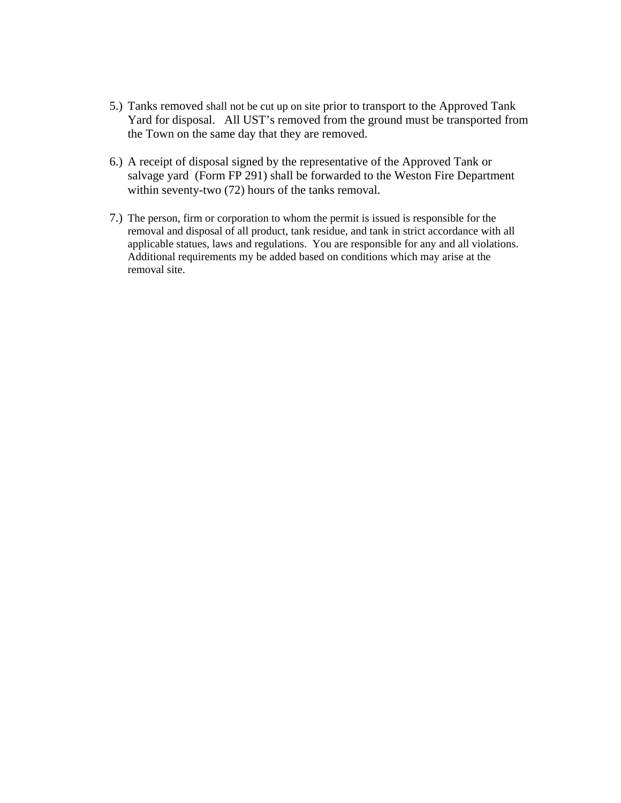- 5.) Tanks removed shall not be cut up on site prior to transport to the Approved Tank Yard for disposal. All UST's removed from the ground must be transported from the Town on the same day that they are removed.
- 6.) A receipt of disposal signed by the representative of the Approved Tank or salvage yard (Form FP 291) shall be forwarded to the Weston Fire Department within seventy-two (72) hours of the tanks removal.
- 7.) The person, firm or corporation to whom the permit is issued is responsible for the removal and disposal of all product, tank residue, and tank in strict accordance with all applicable statues, laws and regulations. You are responsible for any and all violations. Additional requirements my be added based on conditions which may arise at the removal site.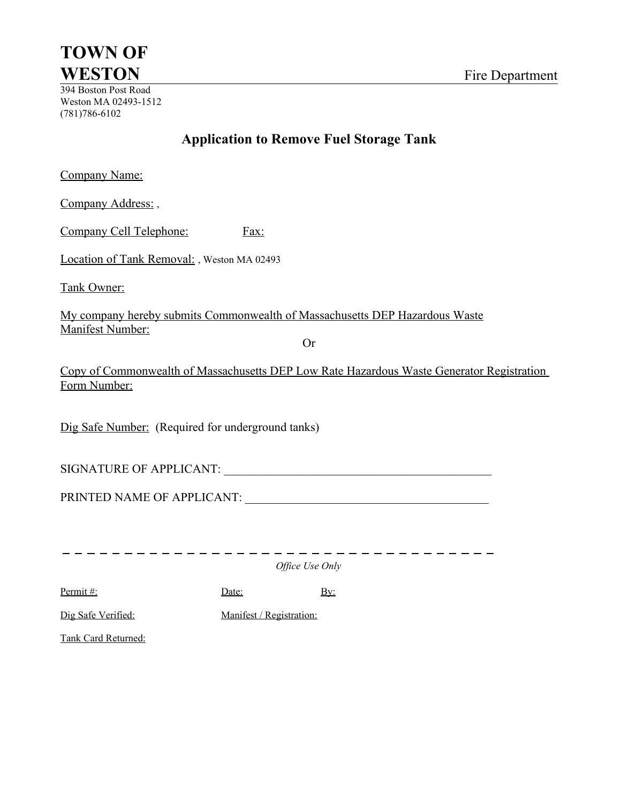# **TOWN OF WESTON** Fire Department

394 Boston Post Road Weston MA 02493-1512 (781)786-6102

### **Application to Remove Fuel Storage Tank**

Company Name:

Company Address:,

Company Cell Telephone: Fax:

Location of Tank Removal: , Weston MA 02493

Tank Owner:

My company hereby submits Commonwealth of Massachusetts DEP Hazardous Waste Manifest Number:

Or

Copy of Commonwealth of Massachusetts DEP Low Rate Hazardous Waste Generator Registration Form Number:

Dig Safe Number: (Required for underground tanks)

SIGNATURE OF APPLICANT: \_\_\_\_\_\_\_\_\_\_\_\_\_\_\_\_\_\_\_\_\_\_\_\_\_\_\_\_\_\_\_\_\_\_\_\_\_\_\_\_\_\_\_\_

PRINTED NAME OF APPLICANT: \_\_\_\_\_\_\_\_\_\_\_\_\_\_\_\_\_\_\_\_\_\_\_\_\_\_\_\_\_\_\_\_\_\_\_\_\_\_\_\_

------------------------------------

*Office Use Only*

Permit #: Date: Date: By:

Dig Safe Verified: Manifest / Registration:

Tank Card Returned: